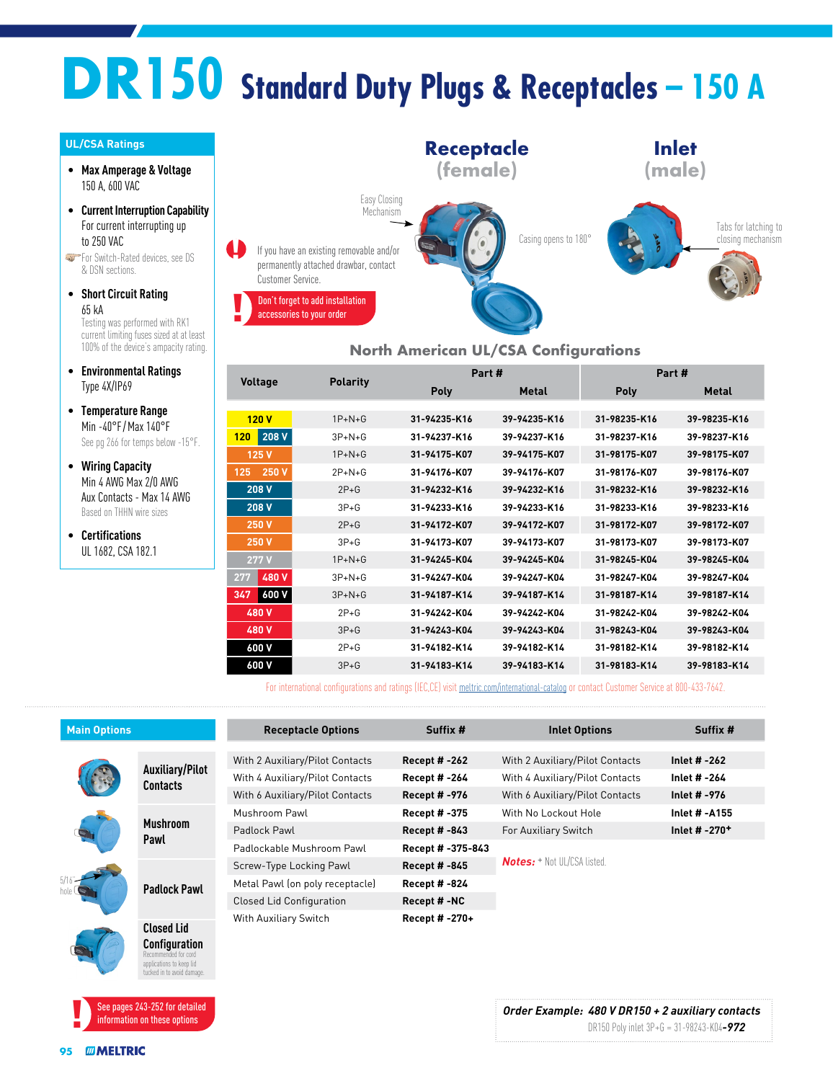# **DR150 Standard Duty Plugs & Receptacles – 150 A**

#### **UL/CSA Ratings**

- **Max Amperage & Voltage** 150 A, 600 VAC
- **Current Interruption Capability** For current interrupting up to 250 VAC
- **For Switch-Rated devices, see DS** & DSN sections.
- **Short Circuit Rating** 65 kA Testing was performed with RK1 current limiting fuses sized at at least 100% of the device's ampacity rating.
- **Environmental Ratings** Type 4X/IP69
- **Temperature Range** Min -40°F /Max 140°F See pg 266 for temps below -15°F.
- **Wiring Capacity** Min 4 AWG Max 2/0 AWG Aux Contacts - Max 14 AWG Based on THHN wire sizes
- **Certifications** UL 1682, CSA 182.1



#### **North American UL/CSA Configurations**

|                | <b>Polarity</b> | Part #       |              | Part#        |              |
|----------------|-----------------|--------------|--------------|--------------|--------------|
| <b>Voltage</b> |                 | <b>Poly</b>  | <b>Metal</b> | <b>Poly</b>  | <b>Metal</b> |
|                |                 |              |              |              |              |
| 120V           | $1P+N+G$        | 31-94235-K16 | 39-94235-K16 | 31-98235-K16 | 39-98235-K16 |
| 208 V<br>120   | $3P + N + G$    | 31-94237-K16 | 39-94237-K16 | 31-98237-K16 | 39-98237-K16 |
| 125 V          | $1P+N+G$        | 31-94175-K07 | 39-94175-K07 | 31-98175-K07 | 39-98175-K07 |
| 250 V<br>125   | $2P+N+G$        | 31-94176-K07 | 39-94176-K07 | 31-98176-K07 | 39-98176-K07 |
| 208 V          | $2P + G$        | 31-94232-K16 | 39-94232-K16 | 31-98232-K16 | 39-98232-K16 |
| 208 V          | $3P + G$        | 31-94233-K16 | 39-94233-K16 | 31-98233-K16 | 39-98233-K16 |
| 250 V          | $2P+G$          | 31-94172-K07 | 39-94172-K07 | 31-98172-K07 | 39-98172-K07 |
| 250 V          | $3P + G$        | 31-94173-K07 | 39-94173-K07 | 31-98173-K07 | 39-98173-K07 |
| 277 V          | $1P + N + G$    | 31-94245-K04 | 39-94245-K04 | 31-98245-K04 | 39-98245-K04 |
| 480 V<br>277   | $3P+N+G$        | 31-94247-K04 | 39-94247-K04 | 31-98247-K04 | 39-98247-K04 |
| 600 V<br>347   | $3P+N+G$        | 31-94187-K14 | 39-94187-K14 | 31-98187-K14 | 39-98187-K14 |
| 480 V          | $2P+G$          | 31-94242-K04 | 39-94242-K04 | 31-98242-K04 | 39-98242-K04 |
| 480 V          | $3P + G$        | 31-94243-K04 | 39-94243-K04 | 31-98243-K04 | 39-98243-K04 |
| 600 V          | $2P+G$          | 31-94182-K14 | 39-94182-K14 | 31-98182-K14 | 39-98182-K14 |
| 600 V          | $3P + G$        | 31-94183-K14 | 39-94183-K14 | 31-98183-K14 | 39-98183-K14 |

For international configurations and ratings (IEC,CE) visit [meltric.com/international-catalog](https://meltric.com/media/contentmanager/content/MARECHAL_Full_Catalogue_EN_1.pdf) or contact Customer Service at 800-433-7642.

| <b>Main Options</b> |                                           | <b>Receptacle Options</b>       | Suffix #             | <b>Inlet Options</b>               | Suffix #                  |
|---------------------|-------------------------------------------|---------------------------------|----------------------|------------------------------------|---------------------------|
|                     |                                           |                                 |                      |                                    |                           |
|                     | <b>Auxiliary/Pilot</b><br><b>Contacts</b> | With 2 Auxiliary/Pilot Contacts | <b>Recept # -262</b> | With 2 Auxiliary/Pilot Contacts    | Inlet # -262              |
|                     |                                           | With 4 Auxiliary/Pilot Contacts | Recept # -264        | With 4 Auxiliary/Pilot Contacts    | Inlet # -264              |
|                     |                                           | With 6 Auxiliary/Pilot Contacts | <b>Recept #-976</b>  | With 6 Auxiliary/Pilot Contacts    | Inlet # -976              |
|                     | <b>Mushroom</b><br>Pawl                   | Mushroom Pawl                   | Recept # -375        | With No Lockout Hole               | <b>Inlet # -A155</b>      |
|                     |                                           | Padlock Pawl                    | Recept # -843        | For Auxiliary Switch               | Inlet # -270 <sup>+</sup> |
|                     |                                           | Padlockable Mushroom Pawl       | Recept # -375-843    |                                    |                           |
|                     | <b>Padlock Pawl</b>                       | Screw-Type Locking Pawl         | Recept # -845        | <b>Notes:</b> + Not UL/CSA listed. |                           |
|                     |                                           | Metal Pawl (on poly receptacle) | <b>Recept #-824</b>  |                                    |                           |
|                     |                                           | <b>Closed Lid Configuration</b> | Recept #-NC          |                                    |                           |
|                     |                                           | With Auxiliary Switch           | Recept # -270+       |                                    |                           |
|                     | <b>Closed Lid</b>                         |                                 |                      |                                    |                           |
|                     | Configuration<br>kecommended for cord     |                                 |                      |                                    |                           |



applications to keep lid tucked in to avoid dam<br>Eked in to avoid dam